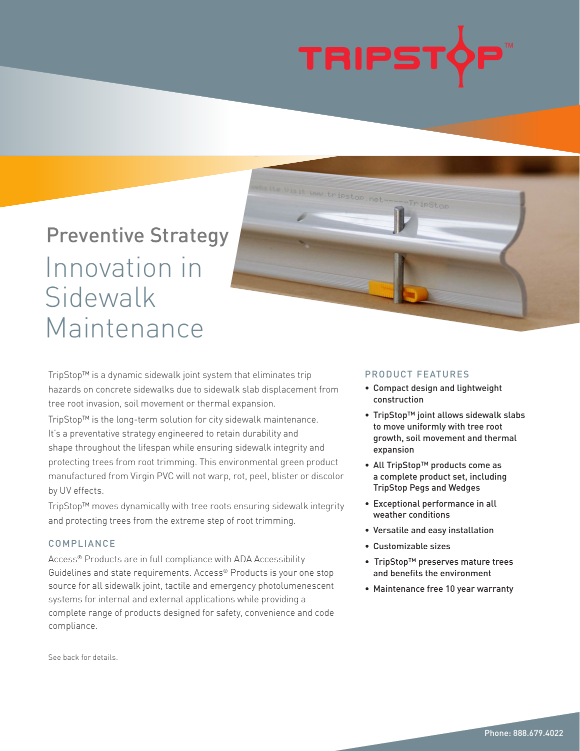

.tripstop.net-

# Preventive Strategy Innovation in Sidewalk Maintenance

TripStop™ is a dynamic sidewalk joint system that eliminates trip hazards on concrete sidewalks due to sidewalk slab displacement from tree root invasion, soil movement or thermal expansion.

TripStop™ is the long-term solution for city sidewalk maintenance. It's a preventative strategy engineered to retain durability and shape throughout the lifespan while ensuring sidewalk integrity and protecting trees from root trimming. This environmental green product manufactured from Virgin PVC will not warp, rot, peel, blister or discolor by UV effects.

TripStop™ moves dynamically with tree roots ensuring sidewalk integrity and protecting trees from the extreme step of root trimming.

## COMPLIANCE

Access® Products are in full compliance with ADA Accessibility Guidelines and state requirements. Access® Products is your one stop source for all sidewalk joint, tactile and emergency photolumenescent systems for internal and external applications while providing a complete range of products designed for safety, convenience and code compliance.

### PRODUCT FEATURES

-TripStop

- Compact design and lightweight construction
- TripStop™ joint allows sidewalk slabs to move uniformly with tree root growth, soil movement and thermal expansion
- All TripStop™ products come as a complete product set, including TripStop Pegs and Wedges
- Exceptional performance in all weather conditions
- Versatile and easy installation
- Customizable sizes
- TripStop™ preserves mature trees and benefits the environment
- Maintenance free 10 year warranty

See back for details.